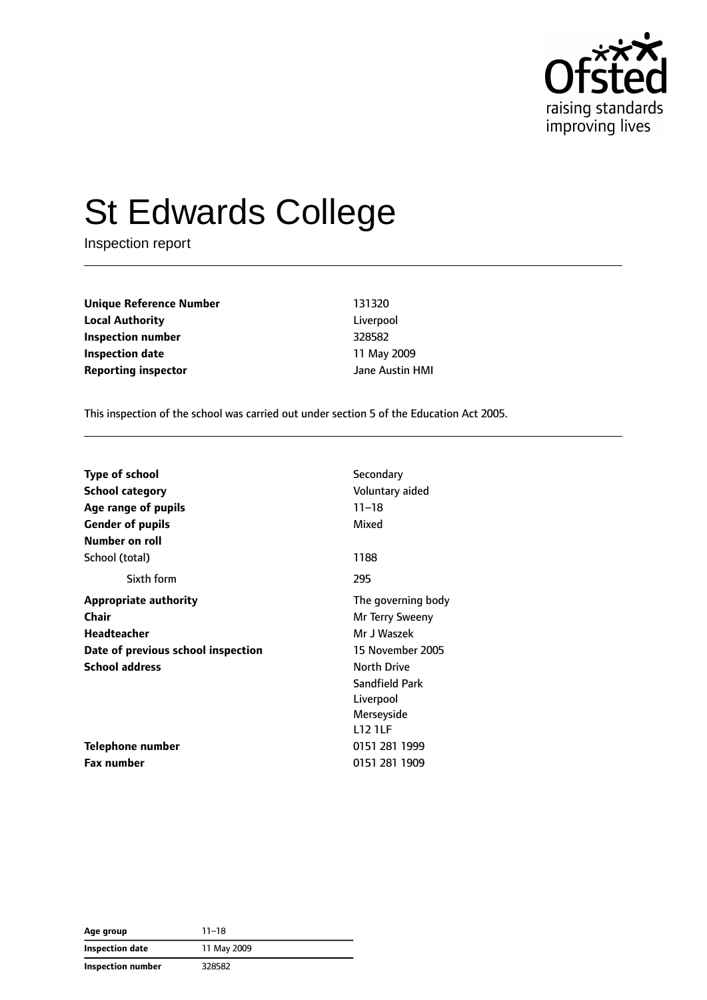

# St Edwards College

Inspection report

**Unique Reference Number** 131320 **Local Authority** Liverpool **Inspection number** 328582 **Inspection date** 11 May 2009 **Reporting inspector CONSERVING ALL SERVING METAL AREA AUSTING METAL DETAILS AND AVAILABLE PROPERTY** 

This inspection of the school was carried out under section 5 of the Education Act 2005.

| <b>Type of school</b>              | Secondary          |
|------------------------------------|--------------------|
| School category                    | Voluntary aided    |
| Age range of pupils                | $11 - 18$          |
| <b>Gender of pupils</b>            | Mixed              |
| Number on roll                     |                    |
| School (total)                     | 1188               |
| Sixth form                         | 295                |
| <b>Appropriate authority</b>       | The governing body |
| <b>Chair</b>                       | Mr Terry Sweeny    |
| <b>Headteacher</b>                 | Mr J Waszek        |
| Date of previous school inspection | 15 November 2005   |
| <b>School address</b>              | <b>North Drive</b> |
|                                    | Sandfield Park     |
|                                    | Liverpool          |
|                                    | Merseyside         |
|                                    | <b>L12 1LF</b>     |
| Telephone number                   | 0151 281 1999      |
| Fax number                         | 0151 281 1909      |

**Age group** 11–18 **Inspection date** 11 May 2009 **Inspection number** 328582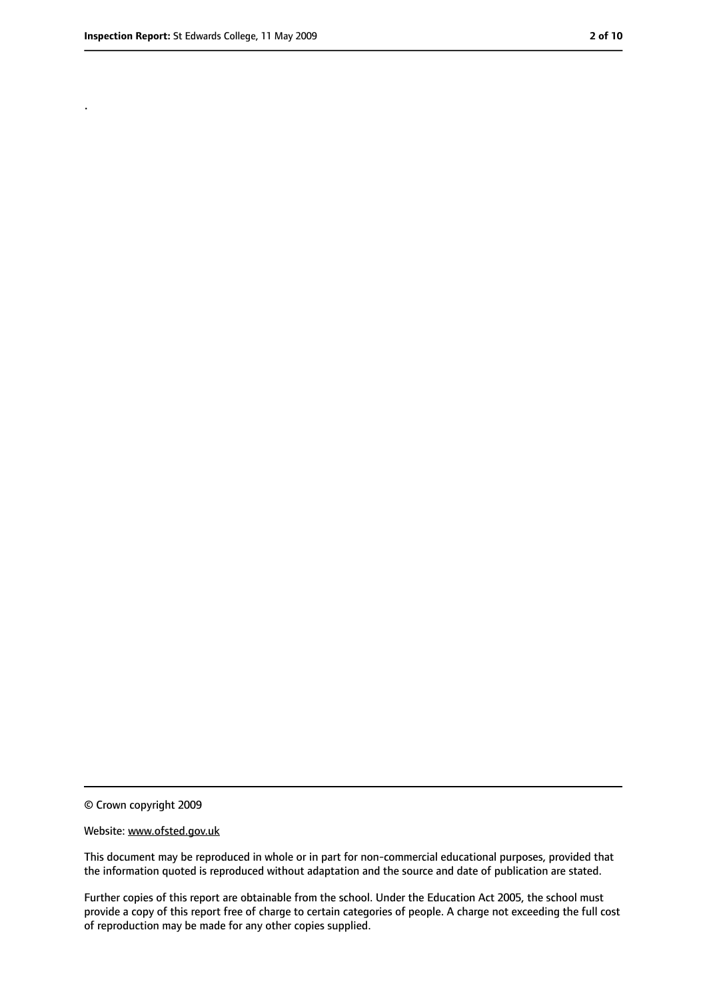.

<sup>©</sup> Crown copyright 2009

Website: www.ofsted.gov.uk

This document may be reproduced in whole or in part for non-commercial educational purposes, provided that the information quoted is reproduced without adaptation and the source and date of publication are stated.

Further copies of this report are obtainable from the school. Under the Education Act 2005, the school must provide a copy of this report free of charge to certain categories of people. A charge not exceeding the full cost of reproduction may be made for any other copies supplied.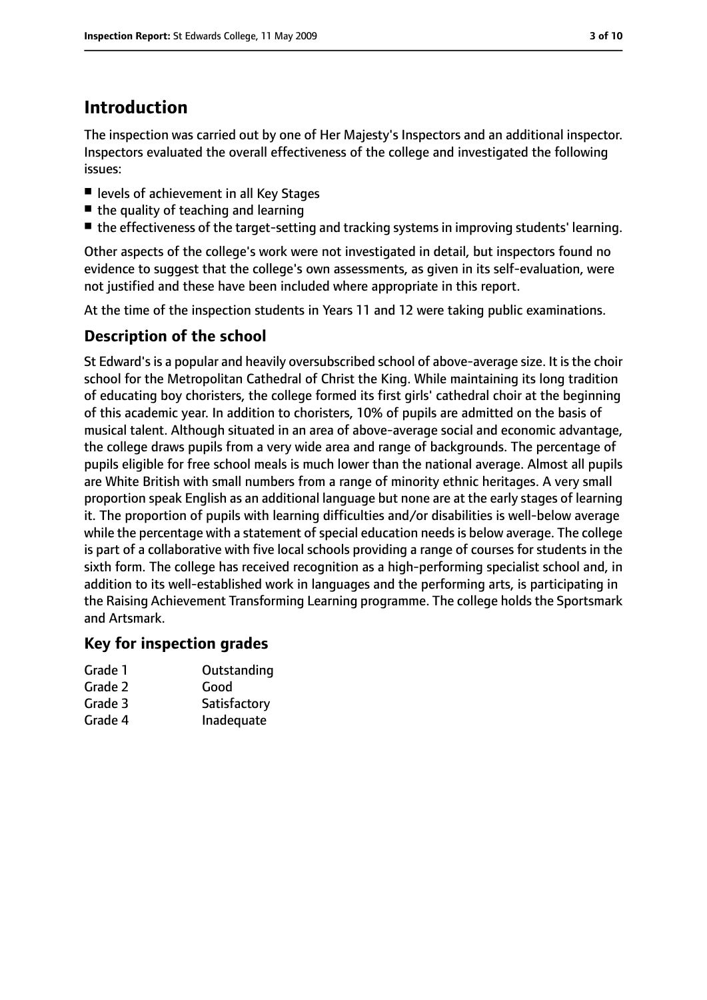## **Introduction**

The inspection was carried out by one of Her Majesty's Inspectors and an additional inspector. Inspectors evaluated the overall effectiveness of the college and investigated the following issues:

- levels of achievement in all Key Stages
- the quality of teaching and learning
- the effectiveness of the target-setting and tracking systems in improving students' learning.

Other aspects of the college's work were not investigated in detail, but inspectors found no evidence to suggest that the college's own assessments, as given in its self-evaluation, were not justified and these have been included where appropriate in this report.

At the time of the inspection students in Years 11 and 12 were taking public examinations.

### **Description of the school**

St Edward's is a popular and heavily oversubscribed school of above-average size. It is the choir school for the Metropolitan Cathedral of Christ the King. While maintaining its long tradition of educating boy choristers, the college formed its first girls' cathedral choir at the beginning of this academic year. In addition to choristers, 10% of pupils are admitted on the basis of musical talent. Although situated in an area of above-average social and economic advantage, the college draws pupils from a very wide area and range of backgrounds. The percentage of pupils eligible for free school meals is much lower than the national average. Almost all pupils are White British with small numbers from a range of minority ethnic heritages. A very small proportion speak English as an additional language but none are at the early stages of learning it. The proportion of pupils with learning difficulties and/or disabilities is well-below average while the percentage with a statement of special education needs is below average. The college is part of a collaborative with five local schools providing a range of courses for students in the sixth form. The college has received recognition as a high-performing specialist school and, in addition to its well-established work in languages and the performing arts, is participating in the Raising Achievement Transforming Learning programme. The college holds the Sportsmark and Artsmark.

### **Key for inspection grades**

| Grade 1 | Outstanding  |
|---------|--------------|
| Grade 2 | Good         |
| Grade 3 | Satisfactory |

Grade 4 Inadequate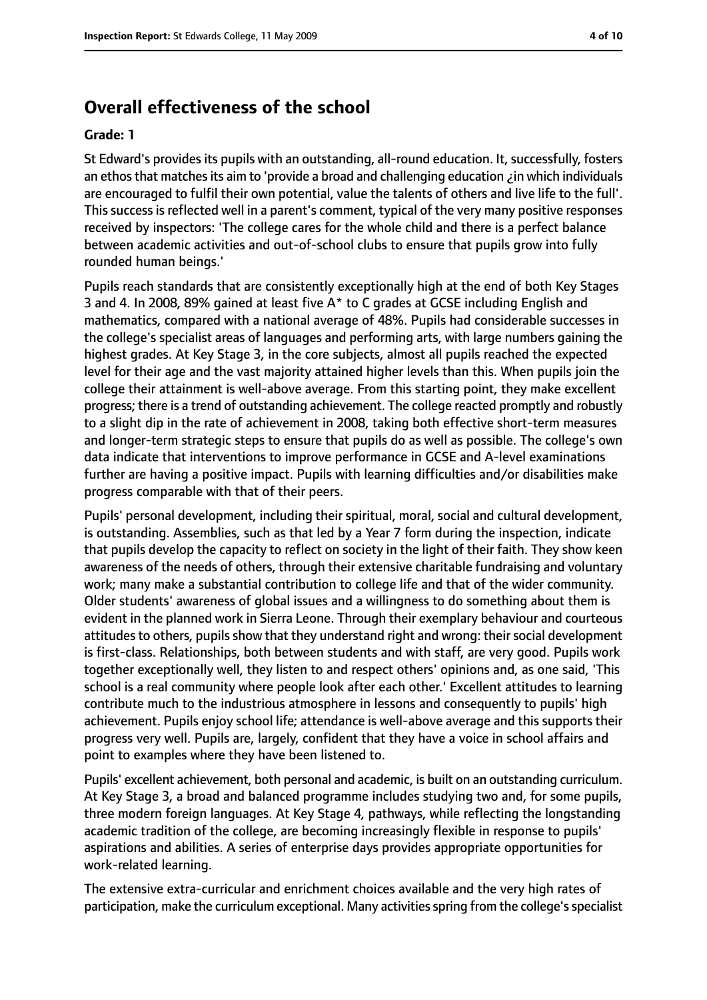### **Overall effectiveness of the school**

#### **Grade: 1**

St Edward's provides its pupils with an outstanding, all-round education. It, successfully, fosters an ethosthat matchesits aim to 'provide a broad and challenging education ¿in which individuals are encouraged to fulfil their own potential, value the talents of others and live life to the full'. This success is reflected well in a parent's comment, typical of the very many positive responses received by inspectors: 'The college cares for the whole child and there is a perfect balance between academic activities and out-of-school clubs to ensure that pupils grow into fully rounded human beings.'

Pupils reach standards that are consistently exceptionally high at the end of both Key Stages 3 and 4. In 2008, 89% gained at least five A\* to C grades at GCSE including English and mathematics, compared with a national average of 48%. Pupils had considerable successes in the college's specialist areas of languages and performing arts, with large numbers gaining the highest grades. At Key Stage 3, in the core subjects, almost all pupils reached the expected level for their age and the vast majority attained higher levels than this. When pupils join the college their attainment is well-above average. From this starting point, they make excellent progress; there is a trend of outstanding achievement. The college reacted promptly and robustly to a slight dip in the rate of achievement in 2008, taking both effective short-term measures and longer-term strategic steps to ensure that pupils do as well as possible. The college's own data indicate that interventions to improve performance in GCSE and A-level examinations further are having a positive impact. Pupils with learning difficulties and/or disabilities make progress comparable with that of their peers.

Pupils' personal development, including their spiritual, moral, social and cultural development, is outstanding. Assemblies, such as that led by a Year 7 form during the inspection, indicate that pupils develop the capacity to reflect on society in the light of their faith. They show keen awareness of the needs of others, through their extensive charitable fundraising and voluntary work; many make a substantial contribution to college life and that of the wider community. Older students' awareness of global issues and a willingness to do something about them is evident in the planned work in Sierra Leone. Through their exemplary behaviour and courteous attitudes to others, pupils show that they understand right and wrong: their social development is first-class. Relationships, both between students and with staff, are very good. Pupils work together exceptionally well, they listen to and respect others' opinions and, as one said, 'This school is a real community where people look after each other.' Excellent attitudes to learning contribute much to the industrious atmosphere in lessons and consequently to pupils' high achievement. Pupils enjoy school life; attendance is well-above average and this supports their progress very well. Pupils are, largely, confident that they have a voice in school affairs and point to examples where they have been listened to.

Pupils' excellent achievement, both personal and academic, is built on an outstanding curriculum. At Key Stage 3, a broad and balanced programme includes studying two and, for some pupils, three modern foreign languages. At Key Stage 4, pathways, while reflecting the longstanding academic tradition of the college, are becoming increasingly flexible in response to pupils' aspirations and abilities. A series of enterprise days provides appropriate opportunities for work-related learning.

The extensive extra-curricular and enrichment choices available and the very high rates of participation, make the curriculum exceptional. Many activities spring from the college's specialist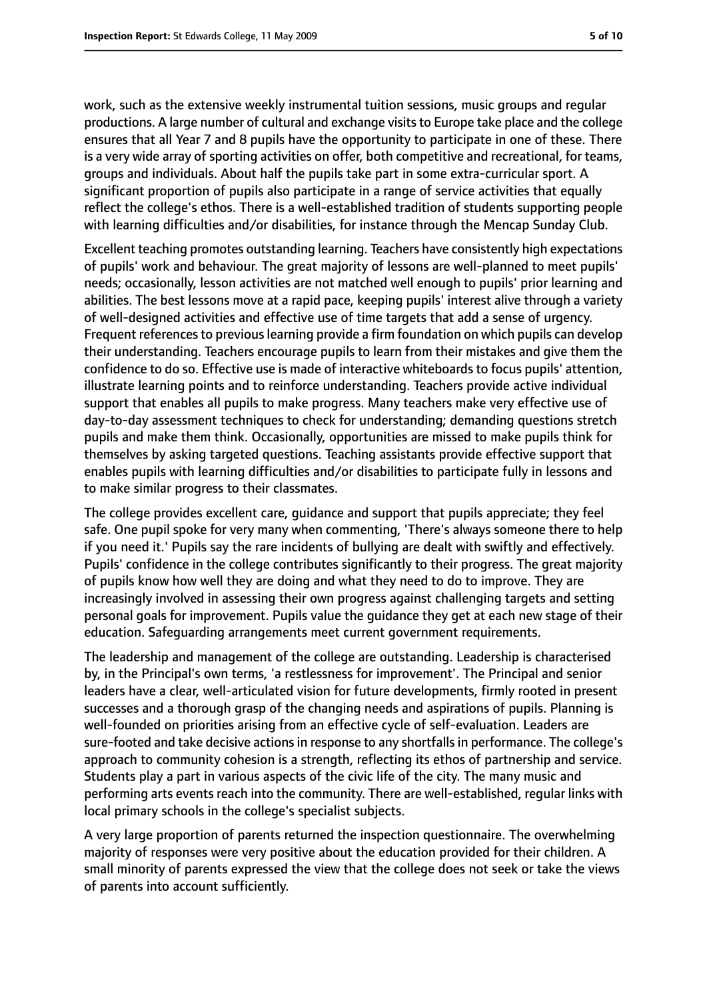work, such as the extensive weekly instrumental tuition sessions, music groups and regular productions. A large number of cultural and exchange visits to Europe take place and the college ensures that all Year 7 and 8 pupils have the opportunity to participate in one of these. There is a very wide array of sporting activities on offer, both competitive and recreational, for teams, groups and individuals. About half the pupils take part in some extra-curricular sport. A significant proportion of pupils also participate in a range of service activities that equally reflect the college's ethos. There is a well-established tradition of students supporting people with learning difficulties and/or disabilities, for instance through the Mencap Sunday Club.

Excellent teaching promotes outstanding learning. Teachers have consistently high expectations of pupils' work and behaviour. The great majority of lessons are well-planned to meet pupils' needs; occasionally, lesson activities are not matched well enough to pupils' prior learning and abilities. The best lessons move at a rapid pace, keeping pupils' interest alive through a variety of well-designed activities and effective use of time targets that add a sense of urgency. Frequent references to previous learning provide a firm foundation on which pupils can develop their understanding. Teachers encourage pupils to learn from their mistakes and give them the confidence to do so. Effective use is made of interactive whiteboards to focus pupils' attention, illustrate learning points and to reinforce understanding. Teachers provide active individual support that enables all pupils to make progress. Many teachers make very effective use of day-to-day assessment techniques to check for understanding; demanding questions stretch pupils and make them think. Occasionally, opportunities are missed to make pupils think for themselves by asking targeted questions. Teaching assistants provide effective support that enables pupils with learning difficulties and/or disabilities to participate fully in lessons and to make similar progress to their classmates.

The college provides excellent care, guidance and support that pupils appreciate; they feel safe. One pupil spoke for very many when commenting, 'There's always someone there to help if you need it.' Pupils say the rare incidents of bullying are dealt with swiftly and effectively. Pupils' confidence in the college contributes significantly to their progress. The great majority of pupils know how well they are doing and what they need to do to improve. They are increasingly involved in assessing their own progress against challenging targets and setting personal goals for improvement. Pupils value the guidance they get at each new stage of their education. Safeguarding arrangements meet current government requirements.

The leadership and management of the college are outstanding. Leadership is characterised by, in the Principal's own terms, 'a restlessness for improvement'. The Principal and senior leaders have a clear, well-articulated vision for future developments, firmly rooted in present successes and a thorough grasp of the changing needs and aspirations of pupils. Planning is well-founded on priorities arising from an effective cycle of self-evaluation. Leaders are sure-footed and take decisive actions in response to any shortfalls in performance. The college's approach to community cohesion is a strength, reflecting its ethos of partnership and service. Students play a part in various aspects of the civic life of the city. The many music and performing arts events reach into the community. There are well-established, regular links with local primary schools in the college's specialist subjects.

A very large proportion of parents returned the inspection questionnaire. The overwhelming majority of responses were very positive about the education provided for their children. A small minority of parents expressed the view that the college does not seek or take the views of parents into account sufficiently.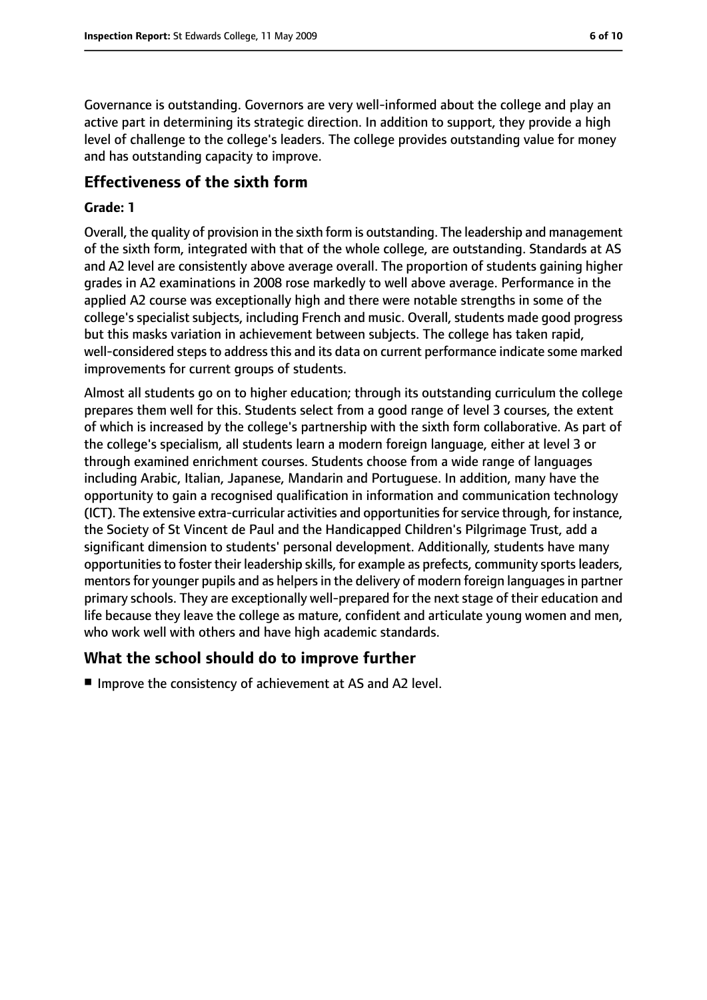Governance is outstanding. Governors are very well-informed about the college and play an active part in determining its strategic direction. In addition to support, they provide a high level of challenge to the college's leaders. The college provides outstanding value for money and has outstanding capacity to improve.

#### **Effectiveness of the sixth form**

#### **Grade: 1**

Overall, the quality of provision in the sixth form is outstanding. The leadership and management of the sixth form, integrated with that of the whole college, are outstanding. Standards at AS and A2 level are consistently above average overall. The proportion of students gaining higher grades in A2 examinations in 2008 rose markedly to well above average. Performance in the applied A2 course was exceptionally high and there were notable strengths in some of the college's specialist subjects, including French and music. Overall, students made good progress but this masks variation in achievement between subjects. The college has taken rapid, well-considered steps to address this and its data on current performance indicate some marked improvements for current groups of students.

Almost all students go on to higher education; through its outstanding curriculum the college prepares them well for this. Students select from a good range of level 3 courses, the extent of which is increased by the college's partnership with the sixth form collaborative. As part of the college's specialism, all students learn a modern foreign language, either at level 3 or through examined enrichment courses. Students choose from a wide range of languages including Arabic, Italian, Japanese, Mandarin and Portuguese. In addition, many have the opportunity to gain a recognised qualification in information and communication technology (ICT). The extensive extra-curricular activities and opportunities for service through, for instance, the Society of St Vincent de Paul and the Handicapped Children's Pilgrimage Trust, add a significant dimension to students' personal development. Additionally, students have many opportunities to foster their leadership skills, for example as prefects, community sports leaders, mentors for younger pupils and as helpers in the delivery of modern foreign languages in partner primary schools. They are exceptionally well-prepared for the next stage of their education and life because they leave the college as mature, confident and articulate young women and men, who work well with others and have high academic standards.

#### **What the school should do to improve further**

■ Improve the consistency of achievement at AS and A2 level.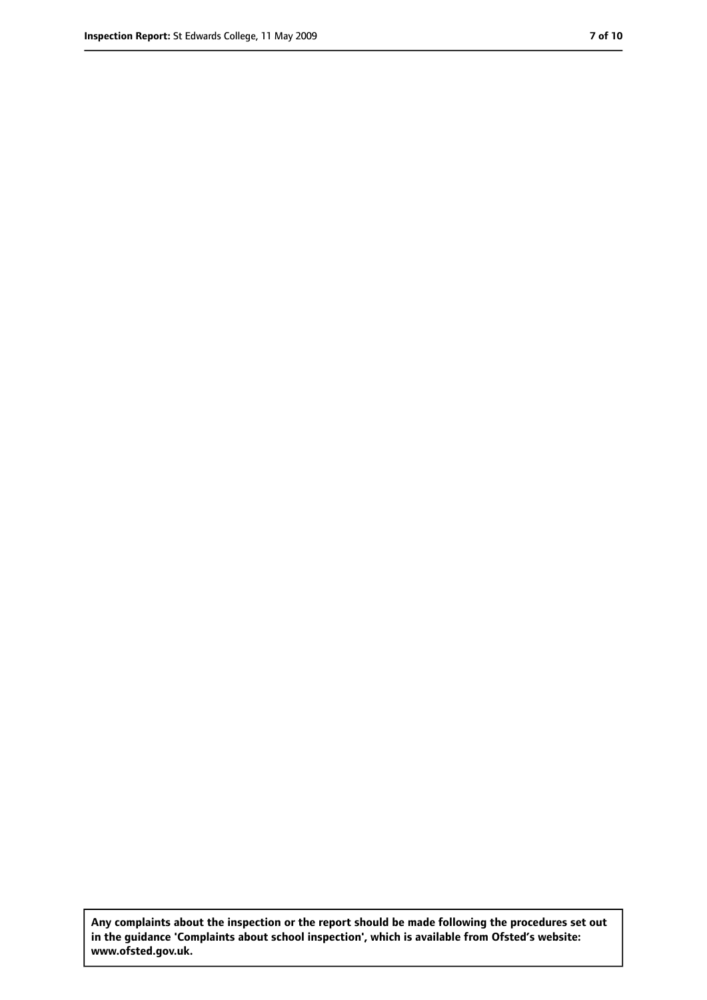**Any complaints about the inspection or the report should be made following the procedures set out in the guidance 'Complaints about school inspection', which is available from Ofsted's website: www.ofsted.gov.uk.**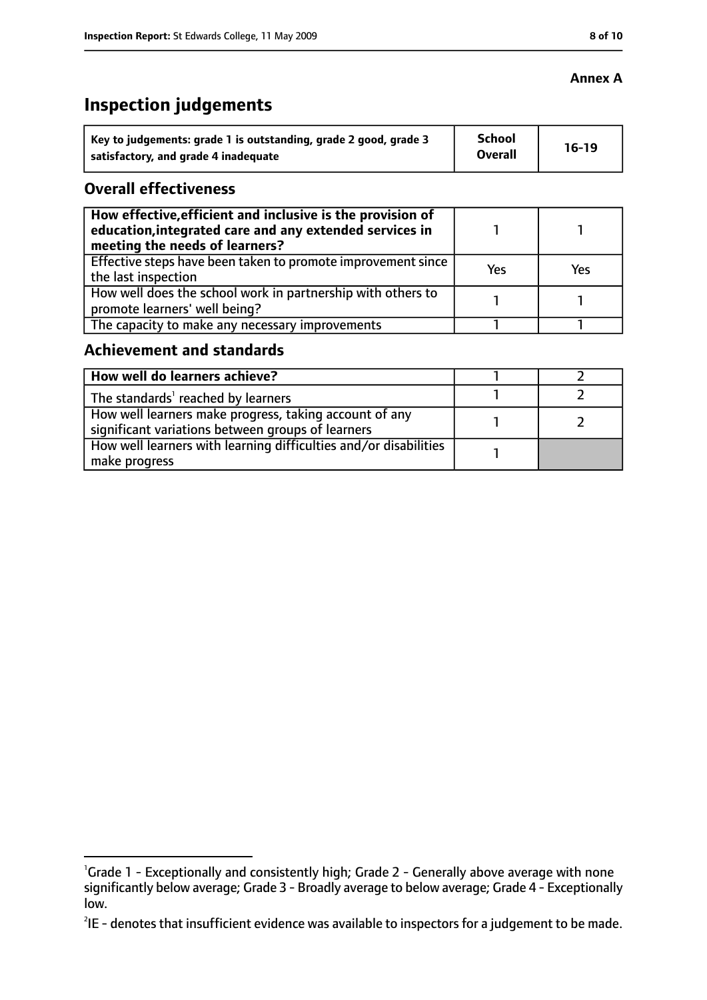# **Inspection judgements**

| Key to judgements: grade 1 is outstanding, grade 2 good, grade 3 | School<br><b>Overall</b> | $16-19$ |
|------------------------------------------------------------------|--------------------------|---------|
| satisfactory, and grade 4 inadequate                             |                          |         |

### **Overall effectiveness**

| How effective, efficient and inclusive is the provision of<br>education, integrated care and any extended services in<br>meeting the needs of learners? |     |     |
|---------------------------------------------------------------------------------------------------------------------------------------------------------|-----|-----|
| Effective steps have been taken to promote improvement since<br>the last inspection                                                                     | Yes | Yes |
| How well does the school work in partnership with others to<br>promote learners' well being?                                                            |     |     |
| The capacity to make any necessary improvements                                                                                                         |     |     |

### **Achievement and standards**

| How well do learners achieve?                                                                               |  |
|-------------------------------------------------------------------------------------------------------------|--|
| The standards <sup>1</sup> reached by learners                                                              |  |
| How well learners make progress, taking account of any<br>significant variations between groups of learners |  |
| How well learners with learning difficulties and/or disabilities<br>make progress                           |  |

### **Annex A**

<sup>&</sup>lt;sup>1</sup>Grade 1 - Exceptionally and consistently high; Grade 2 - Generally above average with none significantly below average; Grade 3 - Broadly average to below average; Grade 4 - Exceptionally low.

 $^{2}$ IE - denotes that insufficient evidence was available to inspectors for a judgement to be made.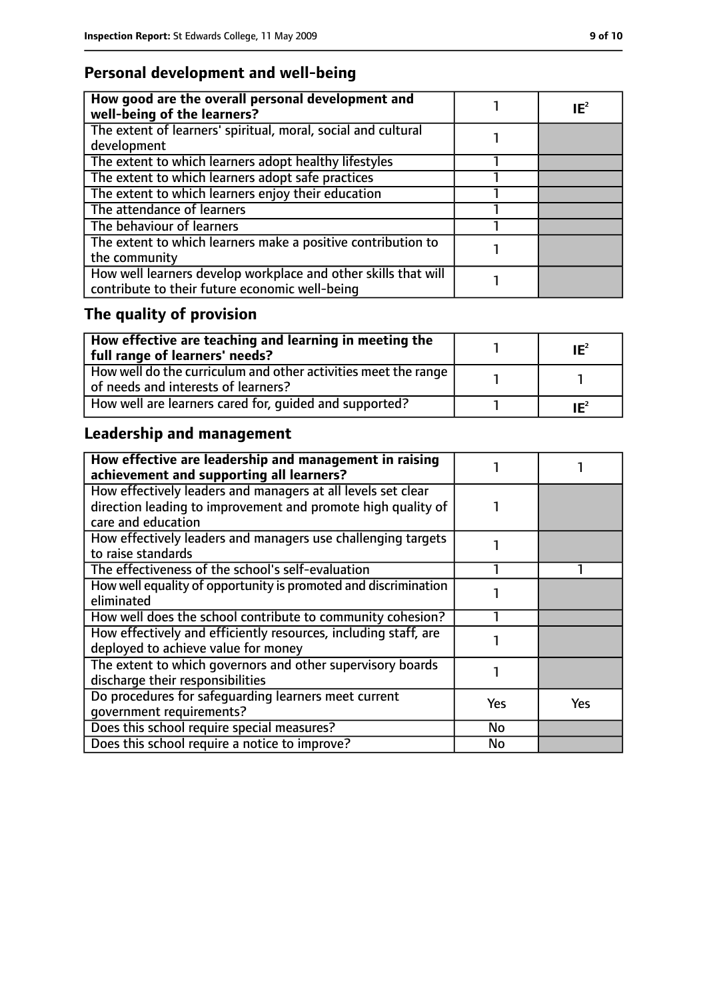### **Personal development and well-being**

| How good are the overall personal development and<br>well-being of the learners?                                 | $IE^2$ |
|------------------------------------------------------------------------------------------------------------------|--------|
| The extent of learners' spiritual, moral, social and cultural<br>development                                     |        |
| The extent to which learners adopt healthy lifestyles                                                            |        |
| The extent to which learners adopt safe practices                                                                |        |
| The extent to which learners enjoy their education                                                               |        |
| The attendance of learners                                                                                       |        |
| The behaviour of learners                                                                                        |        |
| The extent to which learners make a positive contribution to<br>the community                                    |        |
| How well learners develop workplace and other skills that will<br>contribute to their future economic well-being |        |

# **The quality of provision**

| How effective are teaching and learning in meeting the<br>full range of learners' needs?              | $IE^2$ |
|-------------------------------------------------------------------------------------------------------|--------|
| How well do the curriculum and other activities meet the range<br>of needs and interests of learners? |        |
| How well are learners cared for, quided and supported?                                                | $IE^2$ |

# **Leadership and management**

| How effective are leadership and management in raising<br>achievement and supporting all learners? |     |            |
|----------------------------------------------------------------------------------------------------|-----|------------|
| How effectively leaders and managers at all levels set clear                                       |     |            |
| direction leading to improvement and promote high quality of                                       |     |            |
| care and education                                                                                 |     |            |
| How effectively leaders and managers use challenging targets                                       |     |            |
| to raise standards                                                                                 |     |            |
| The effectiveness of the school's self-evaluation                                                  |     |            |
| How well equality of opportunity is promoted and discrimination                                    |     |            |
| eliminated                                                                                         |     |            |
| How well does the school contribute to community cohesion?                                         |     |            |
| How effectively and efficiently resources, including staff, are                                    |     |            |
| deployed to achieve value for money                                                                |     |            |
| The extent to which governors and other supervisory boards                                         |     |            |
| discharge their responsibilities                                                                   |     |            |
| Do procedures for safequarding learners meet current                                               | Yes | <b>Yes</b> |
| qovernment requirements?                                                                           |     |            |
| Does this school require special measures?                                                         | No  |            |
| Does this school require a notice to improve?                                                      | No  |            |